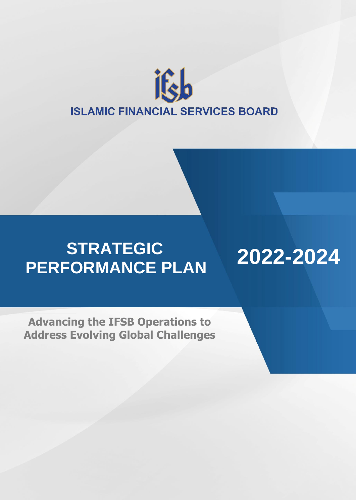

# **STRATEGIC PERFORMANCE PLAN**

**2022-2024**

**Advancing the IFSB Operations to Address Evolving Global Challenges**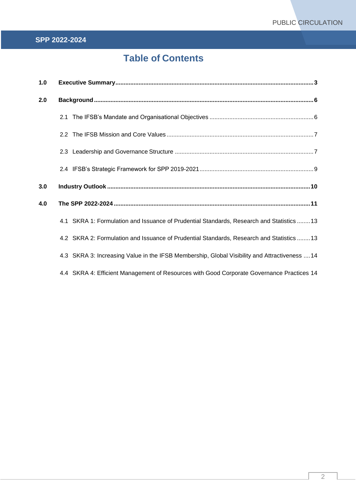## **Table of Contents**

| 1.0 |                                                                                               |  |  |
|-----|-----------------------------------------------------------------------------------------------|--|--|
| 2.0 |                                                                                               |  |  |
|     |                                                                                               |  |  |
|     |                                                                                               |  |  |
|     |                                                                                               |  |  |
|     |                                                                                               |  |  |
| 3.0 |                                                                                               |  |  |
| 4.0 |                                                                                               |  |  |
|     | 4.1 SKRA 1: Formulation and Issuance of Prudential Standards, Research and Statistics  13     |  |  |
|     | 4.2 SKRA 2: Formulation and Issuance of Prudential Standards, Research and Statistics  13     |  |  |
|     | 4.3 SKRA 3: Increasing Value in the IFSB Membership, Global Visibility and Attractiveness  14 |  |  |
|     | 4.4 SKRA 4: Efficient Management of Resources with Good Corporate Governance Practices 14     |  |  |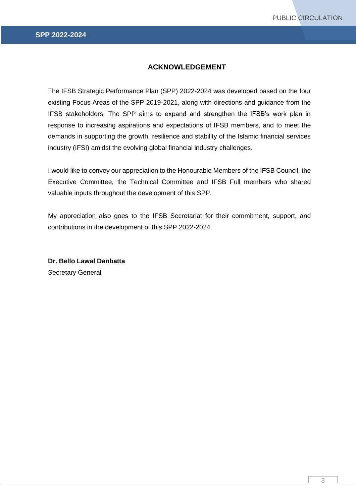## **ACKNOWLEDGEMENT**

<span id="page-2-0"></span>The IFSB Strategic Performance Plan (SPP) 2022-2024 was developed based on the four existing Focus Areas of the SPP 2019-2021, along with directions and guidance from the IFSB stakeholders. The SPP aims to expand and strengthen the IFSB's work plan in response to increasing aspirations and expectations of IFSB members, and to meet the demands in supporting the growth, resilience and stability of the Islamic financial services industry (IFSI) amidst the evolving global financial industry challenges.

I would like to convey our appreciation to the Honourable Members of the IFSB Council, the Executive Committee, the Technical Committee and IFSB Full members who shared valuable inputs throughout the development of this SPP.

My appreciation also goes to the IFSB Secretariat for their commitment, support, and contributions in the development of this SPP 2022-2024.

**Dr. Bello Lawal Danbatta** Secretary General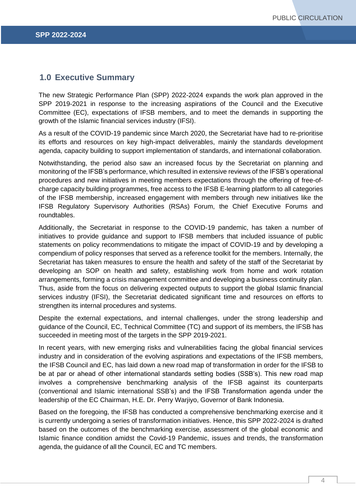## **1.0 Executive Summary**

The new Strategic Performance Plan (SPP) 2022-2024 expands the work plan approved in the SPP 2019-2021 in response to the increasing aspirations of the Council and the Executive Committee (EC), expectations of IFSB members, and to meet the demands in supporting the growth of the Islamic financial services industry (IFSI).

As a result of the COVID-19 pandemic since March 2020, the Secretariat have had to re-prioritise its efforts and resources on key high-impact deliverables, mainly the standards development agenda, capacity building to support implementation of standards, and international collaboration.

Notwithstanding, the period also saw an increased focus by the Secretariat on planning and monitoring of the IFSB's performance, which resulted in extensive reviews of the IFSB's operational procedures and new initiatives in meeting members expectations through the offering of free-ofcharge capacity building programmes, free access to the IFSB E-learning platform to all categories of the IFSB membership, increased engagement with members through new initiatives like the IFSB Regulatory Supervisory Authorities (RSAs) Forum, the Chief Executive Forums and roundtables.

Additionally, the Secretariat in response to the COVID-19 pandemic, has taken a number of initiatives to provide guidance and support to IFSB members that included issuance of public statements on policy recommendations to mitigate the impact of COVID-19 and by developing a compendium of policy responses that served as a reference toolkit for the members. Internally, the Secretariat has taken measures to ensure the health and safety of the staff of the Secretariat by developing an SOP on health and safety, establishing work from home and work rotation arrangements, forming a crisis management committee and developing a business continuity plan. Thus, aside from the focus on delivering expected outputs to support the global Islamic financial services industry (IFSI), the Secretariat dedicated significant time and resources on efforts to strengthen its internal procedures and systems.

Despite the external expectations, and internal challenges, under the strong leadership and guidance of the Council, EC, Technical Committee (TC) and support of its members, the IFSB has succeeded in meeting most of the targets in the SPP 2019-2021.

In recent years, with new emerging risks and vulnerabilities facing the global financial services industry and in consideration of the evolving aspirations and expectations of the IFSB members, the IFSB Council and EC, has laid down a new road map of transformation in order for the IFSB to be at par or ahead of other international standards setting bodies (SSB's). This new road map involves a comprehensive benchmarking analysis of the IFSB against its counterparts (conventional and Islamic international SSB's) and the IFSB Transformation agenda under the leadership of the EC Chairman, H.E. Dr. Perry Warjiyo, Governor of Bank Indonesia.

Based on the foregoing, the IFSB has conducted a comprehensive benchmarking exercise and it is currently undergoing a series of transformation initiatives. Hence, this SPP 2022-2024 is drafted based on the outcomes of the benchmarking exercise, assessment of the global economic and Islamic finance condition amidst the Covid-19 Pandemic, issues and trends, the transformation agenda, the guidance of all the Council, EC and TC members.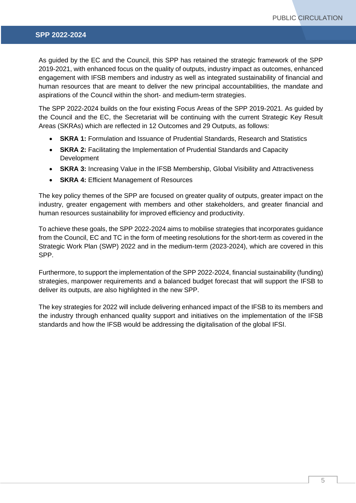As guided by the EC and the Council, this SPP has retained the strategic framework of the SPP 2019-2021, with enhanced focus on the quality of outputs, industry impact as outcomes, enhanced engagement with IFSB members and industry as well as integrated sustainability of financial and human resources that are meant to deliver the new principal accountabilities, the mandate and aspirations of the Council within the short- and medium-term strategies.

The SPP 2022-2024 builds on the four existing Focus Areas of the SPP 2019-2021. As guided by the Council and the EC, the Secretariat will be continuing with the current Strategic Key Result Areas (SKRAs) which are reflected in 12 Outcomes and 29 Outputs, as follows:

- **SKRA 1:** Formulation and Issuance of Prudential Standards, Research and Statistics
- **SKRA 2:** Facilitating the Implementation of Prudential Standards and Capacity Development
- **SKRA 3:** Increasing Value in the IFSB Membership, Global Visibility and Attractiveness
- **SKRA 4:** Efficient Management of Resources

The key policy themes of the SPP are focused on greater quality of outputs, greater impact on the industry, greater engagement with members and other stakeholders, and greater financial and human resources sustainability for improved efficiency and productivity.

To achieve these goals, the SPP 2022-2024 aims to mobilise strategies that incorporates guidance from the Council, EC and TC in the form of meeting resolutions for the short-term as covered in the Strategic Work Plan (SWP) 2022 and in the medium-term (2023-2024), which are covered in this SPP.

Furthermore, to support the implementation of the SPP 2022-2024, financial sustainability (funding) strategies, manpower requirements and a balanced budget forecast that will support the IFSB to deliver its outputs, are also highlighted in the new SPP.

The key strategies for 2022 will include delivering enhanced impact of the IFSB to its members and the industry through enhanced quality support and initiatives on the implementation of the IFSB standards and how the IFSB would be addressing the digitalisation of the global IFSI.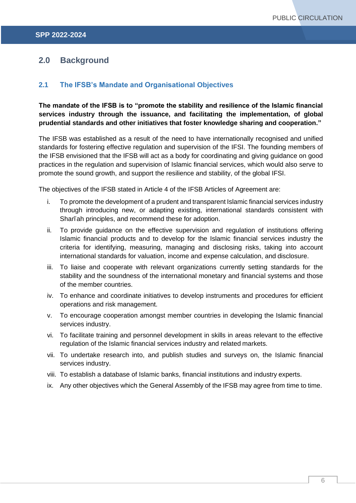## <span id="page-5-0"></span>**2.0 Background**

## <span id="page-5-1"></span>**2.1 The IFSB's Mandate and Organisational Objectives**

**The mandate of the IFSB is to "promote the stability and resilience of the Islamic financial services industry through the issuance, and facilitating the implementation, of global prudential standards and other initiatives that foster knowledge sharing and cooperation."**

The IFSB was established as a result of the need to have internationally recognised and unified standards for fostering effective regulation and supervision of the IFSI. The founding members of the IFSB envisioned that the IFSB will act as a body for coordinating and giving guidance on good practices in the regulation and supervision of Islamic financial services, which would also serve to promote the sound growth, and support the resilience and stability, of the global IFSI.

The objectives of the IFSB stated in Article 4 of the IFSB Articles of Agreement are:

- i. To promote the development of a prudent and transparent Islamic financial services industry through introducing new, or adapting existing, international standards consistent with Shariah principles, and recommend these for adoption.
- ii. To provide guidance on the effective supervision and regulation of institutions offering Islamic financial products and to develop for the Islamic financial services industry the criteria for identifying, measuring, managing and disclosing risks, taking into account international standards for valuation, income and expense calculation, and disclosure.
- iii. To liaise and cooperate with relevant organizations currently setting standards for the stability and the soundness of the international monetary and financial systems and those of the member countries.
- iv. To enhance and coordinate initiatives to develop instruments and procedures for efficient operations and risk management.
- v. To encourage cooperation amongst member countries in developing the Islamic financial services industry.
- vi. To facilitate training and personnel development in skills in areas relevant to the effective regulation of the Islamic financial services industry and related markets.
- vii. To undertake research into, and publish studies and surveys on, the Islamic financial services industry.
- viii. To establish a database of Islamic banks, financial institutions and industry experts.
- ix. Any other objectives which the General Assembly of the IFSB may agree from time to time.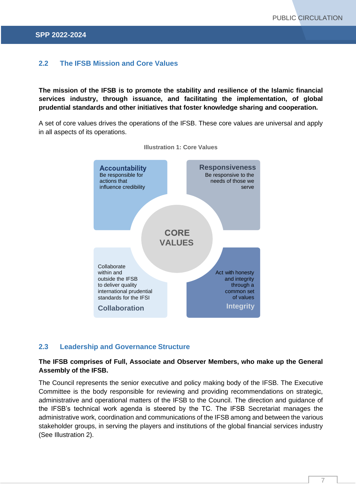## <span id="page-6-0"></span>**2.2 The IFSB Mission and Core Values**

**The mission of the IFSB is to promote the stability and resilience of the Islamic financial services industry, through issuance, and facilitating the implementation, of global prudential standards and other initiatives that foster knowledge sharing and cooperation.**

A set of core values drives the operations of the IFSB. These core values are universal and apply in all aspects of its operations.



**Illustration 1: Core Values**

#### <span id="page-6-1"></span>**2.3 Leadership and Governance Structure**

### **The IFSB comprises of Full, Associate and Observer Members, who make up the General Assembly of the IFSB.**

The Council represents the senior executive and policy making body of the IFSB. The Executive Committee is the body responsible for reviewing and providing recommendations on strategic, administrative and operational matters of the IFSB to the Council. The direction and guidance of the IFSB's technical work agenda is steered by the TC. The IFSB Secretariat manages the administrative work, coordination and communications of the IFSB among and between the various stakeholder groups, in serving the players and institutions of the global financial services industry (See Illustration 2).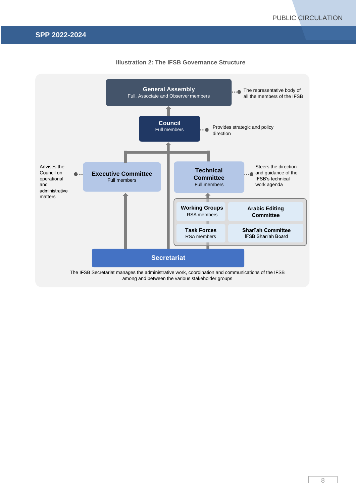

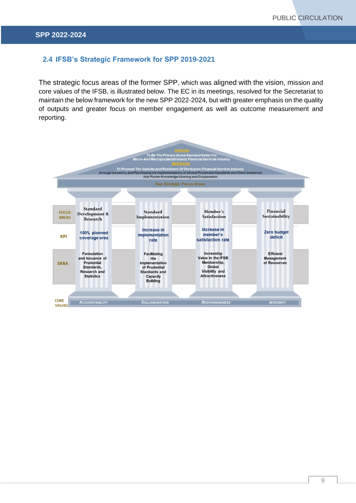## <span id="page-8-0"></span>**2.4 IFSB's Strategic Framework for SPP 2019-2021**

The strategic focus areas of the former SPP, which was aligned with the vision, mission and core values of the IFSB, is illustrated below. The EC in its meetings, resolved for the Secretariat to maintain the below framework for the new SPP 2022-2024, but with greater emphasis on the quality of outputs and greater focus on member engagement as well as outcome measurement and reporting.

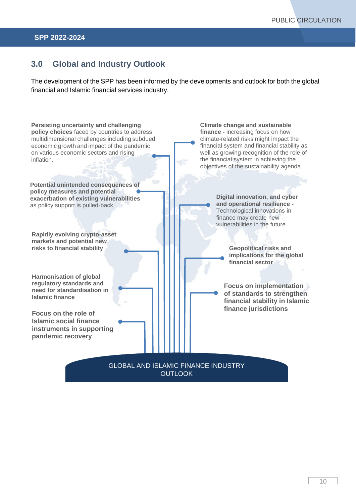## <span id="page-9-0"></span>**3.0 Global and Industry Outlook**

The development of the SPP has been informed by the developments and outlook for both the global financial and Islamic financial services industry.

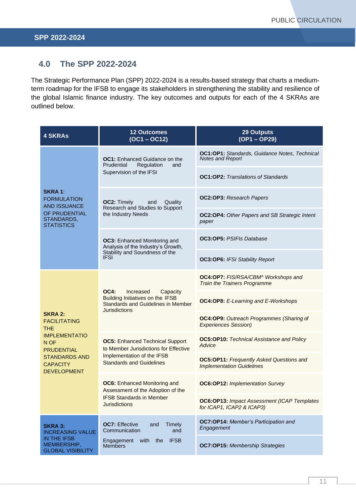## <span id="page-10-0"></span>**4.0 The SPP 2022-2024**

The Strategic Performance Plan (SPP) 2022-2024 is a results-based strategy that charts a mediumterm roadmap for the IFSB to engage its stakeholders in strengthening the stability and resilience of the global Islamic finance industry. The key outcomes and outputs for each of the 4 SKRAs are outlined below.

| <b>4 SKRAs</b>                                                | <b>12 Outcomes</b><br>$(OC1 - OC12)$                                                                                                             | <b>29 Outputs</b><br>(OP1-OP29)                                                     |
|---------------------------------------------------------------|--------------------------------------------------------------------------------------------------------------------------------------------------|-------------------------------------------------------------------------------------|
|                                                               | <b>OC1:</b> Enhanced Guidance on the<br>Prudential<br>Regulation<br>and<br>Supervision of the IFSI                                               | OC1:OP1: Standards, Guidance Notes, Technical<br><b>Notes and Report</b>            |
|                                                               |                                                                                                                                                  | <b>OC1:OP2:</b> Translations of Standards                                           |
| <b>SKRA1:</b><br><b>FORMULATION</b><br><b>AND ISSUANCE</b>    | <b>OC2: Timely</b><br>Quality<br>and<br>Research and Studies to Support<br>the Industry Needs                                                    | <b>OC2:OP3:</b> Research Papers                                                     |
| OF PRUDENTIAL<br>STANDARDS,<br><b>STATISTICS</b>              |                                                                                                                                                  | OC2:OP4: Other Papers and SB Strategic Intent<br>paper                              |
|                                                               | <b>OC3:</b> Enhanced Monitoring and<br>Analysis of the Industry's Growth,<br>Stability and Soundness of the<br><b>IFSI</b>                       | <b>OC3:OP5:</b> PSIFIs Database                                                     |
|                                                               |                                                                                                                                                  | <b>OC3:OP6: IFSI Stability Report</b>                                               |
|                                                               | <b>OC4:</b><br>Increased<br>Capacity<br>Building Initiatives on the IFSB<br><b>Standards and Guidelines in Member</b><br><b>Jurisdictions</b>    | OC4:OP7: FIS/RSA/CBM^ Workshops and<br><b>Train the Trainers Programme</b>          |
|                                                               |                                                                                                                                                  | <b>OC4:OP8:</b> E-Learning and E-Workshops                                          |
| <b>SKRA 2:</b><br><b>FACILITATING</b><br>THE.                 |                                                                                                                                                  | OC4:OP9: Outreach Programmes (Sharing of<br><b>Experiences Session)</b>             |
| <b>IMPLEMENTATIO</b><br>N OF<br><b>PRUDENTIAL</b>             | <b>OC5: Enhanced Technical Support</b><br>to Member Jurisdictions for Effective<br>Implementation of the IFSB<br><b>Standards and Guidelines</b> | <b>OC5:OP10:</b> Technical Assistance and Policy<br>Advice                          |
| <b>STANDARDS AND</b><br><b>CAPACITY</b><br><b>DEVELOPMENT</b> |                                                                                                                                                  | <b>OC5:OP11:</b> Frequently Asked Questions and<br><b>Implementation Guidelines</b> |
|                                                               | <b>OC6:</b> Enhanced Monitoring and<br>Assessment of the Adoption of the<br><b>IFSB Standards in Member</b><br><b>Jurisdictions</b>              | <b>OC6:OP12: Implementation Survey</b>                                              |
|                                                               |                                                                                                                                                  | <b>OC6:OP13: Impact Assessment (ICAP Templates)</b><br>for ICAP1, ICAP2 & ICAP3)    |
| <b>SKRA 3:</b><br><b>INCREASING VALUE</b>                     | <b>OC7: Effective</b><br>Timely<br>and<br>Communication<br>and<br><b>IFSB</b><br>Engagement<br>with<br>the<br><b>Members</b>                     | OC7:OP14: Member's Participation and<br>Engagement                                  |
| IN THE IFSB<br>MEMBERSHIP,<br><b>GLOBAL VISIBILITY</b>        |                                                                                                                                                  | <b>OC7:OP15:</b> Membership Strategies                                              |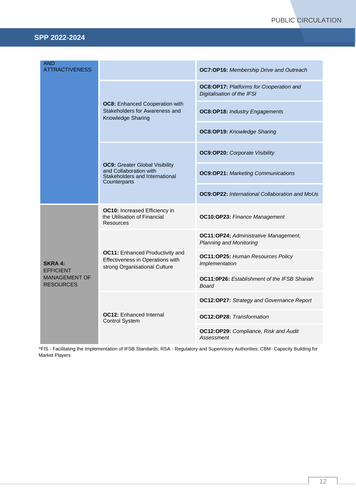| <b>AND</b><br><b>ATTRACTIVENESS</b>      |                                                                                                                   | <b>OC7:OP16:</b> Membership Drive and Outreach                               |
|------------------------------------------|-------------------------------------------------------------------------------------------------------------------|------------------------------------------------------------------------------|
|                                          | <b>OC8:</b> Enhanced Cooperation with<br>Stakeholders for Awareness and<br>Knowledge Sharing                      | <b>OC8:OP17: Platforms for Cooperation and</b><br>Digitalisation of the IFSI |
|                                          |                                                                                                                   | <b>OC8:OP18: Industry Engagements</b>                                        |
|                                          |                                                                                                                   | OC8:OP19: Knowledge Sharing                                                  |
|                                          | <b>OC9: Greater Global Visibility</b><br>and Collaboration with<br>Stakeholders and International<br>Counterparts | <b>OC9:OP20:</b> Corporate Visibility                                        |
|                                          |                                                                                                                   | <b>OC9:OP21:</b> Marketing Communications                                    |
|                                          |                                                                                                                   | <b>OC9:OP22:</b> International Collaboration and MoUs                        |
|                                          | OC10: Increased Efficiency in<br>the Utilisation of Financial<br>Resources                                        | OC10:OP23: Finance Management                                                |
|                                          | <b>OC11:</b> Enhanced Productivity and<br>Effectiveness in Operations with<br>strong Organisational Culture       | OC11:OP24: Administrative Management,<br><b>Planning and Monitoring</b>      |
| <b>SKRA 4:</b><br><b>EFFICIENT</b>       |                                                                                                                   | OC11:OP25: Human Resources Policy<br>Implementation                          |
| <b>MANAGEMENT OF</b><br><b>RESOURCES</b> |                                                                                                                   | <b>OC11:0P26:</b> Establishment of the IFSB Shariah<br><b>Board</b>          |
|                                          | <b>OC12: Enhanced Internal</b><br><b>Control System</b>                                                           | OC12:OP27: Strategy and Governance Report                                    |
|                                          |                                                                                                                   | <b>OC12:OP28:</b> Transformation                                             |
|                                          |                                                                                                                   | OC12:OP29: Compliance, Risk and Audit<br>Assessment                          |

^FIS - Facilitating the Implementation of IFSB Standards; RSA - Regulatory and Supervisory Authorities; CBM- Capacity Building for Market Players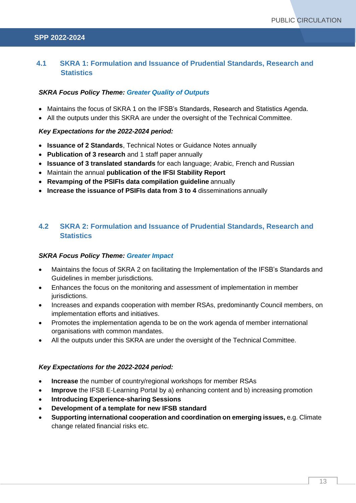## <span id="page-12-0"></span>**4.1 SKRA 1: Formulation and Issuance of Prudential Standards, Research and Statistics**

## *SKRA Focus Policy Theme: Greater Quality of Outputs*

- Maintains the focus of SKRA 1 on the IFSB's Standards, Research and Statistics Agenda.
- All the outputs under this SKRA are under the oversight of the Technical Committee.

### *Key Expectations for the 2022-2024 period:*

- **Issuance of 2 Standards**, Technical Notes or Guidance Notes annually
- **Publication of 3 research** and 1 staff paper annually
- **Issuance of 3 translated standards** for each language; Arabic, French and Russian
- Maintain the annual **publication of the IFSI Stability Report**
- **Revamping of the PSIFIs data compilation guideline** annually
- **Increase the issuance of PSIFIs data from 3 to 4** disseminations annually

## <span id="page-12-1"></span>**4.2 SKRA 2: Formulation and Issuance of Prudential Standards, Research and Statistics**

#### *SKRA Focus Policy Theme: Greater Impact*

- Maintains the focus of SKRA 2 on facilitating the Implementation of the IFSB's Standards and Guidelines in member jurisdictions.
- Enhances the focus on the monitoring and assessment of implementation in member jurisdictions.
- Increases and expands cooperation with member RSAs, predominantly Council members, on implementation efforts and initiatives.
- Promotes the implementation agenda to be on the work agenda of member international organisations with common mandates.
- All the outputs under this SKRA are under the oversight of the Technical Committee.

#### *Key Expectations for the 2022-2024 period:*

- **Increase** the number of country/regional workshops for member RSAs
- **Improve** the IFSB E-Learning Portal by a) enhancing content and b) increasing promotion
- **Introducing Experience-sharing Sessions**
- **Development of a template for new IFSB standard**
- **Supporting international cooperation and coordination on emerging issues,** e.g. Climate change related financial risks etc.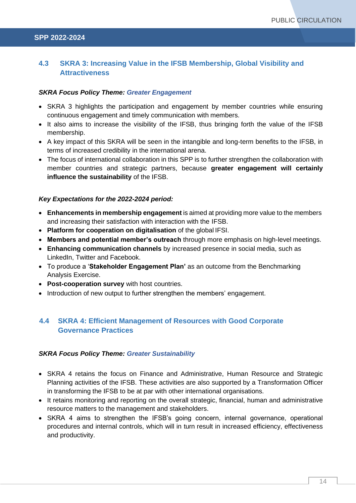## <span id="page-13-0"></span>**4.3 SKRA 3: Increasing Value in the IFSB Membership, Global Visibility and Attractiveness**

#### *SKRA Focus Policy Theme: Greater Engagement*

- SKRA 3 highlights the participation and engagement by member countries while ensuring continuous engagement and timely communication with members.
- It also aims to increase the visibility of the IFSB, thus bringing forth the value of the IFSB membership.
- A key impact of this SKRA will be seen in the intangible and long-term benefits to the IFSB, in terms of increased credibility in the international arena.
- The focus of international collaboration in this SPP is to further strengthen the collaboration with member countries and strategic partners, because **greater engagement will certainly influence the sustainability** of the IFSB.

#### *Key Expectations for the 2022-2024 period:*

- **Enhancements in membership engagement** is aimed at providing more value to the members and increasing their satisfaction with interaction with the IFSB.
- **Platform for cooperation on digitalisation** of the global IFSI.
- **Members and potential member's outreach** through more emphasis on high-level meetings.
- **Enhancing communication channels** by increased presence in social media, such as LinkedIn, Twitter and Facebook.
- To produce a '**Stakeholder Engagement Plan'** as an outcome from the Benchmarking Analysis Exercise.
- **Post-cooperation survey** with host countries.
- Introduction of new output to further strengthen the members' engagement.

## <span id="page-13-1"></span>**4.4 SKRA 4: Efficient Management of Resources with Good Corporate Governance Practices**

#### *SKRA Focus Policy Theme: Greater Sustainability*

- SKRA 4 retains the focus on Finance and Administrative, Human Resource and Strategic Planning activities of the IFSB. These activities are also supported by a Transformation Officer in transforming the IFSB to be at par with other international organisations.
- It retains monitoring and reporting on the overall strategic, financial, human and administrative resource matters to the management and stakeholders.
- SKRA 4 aims to strengthen the IFSB's going concern, internal governance, operational procedures and internal controls, which will in turn result in increased efficiency, effectiveness and productivity.